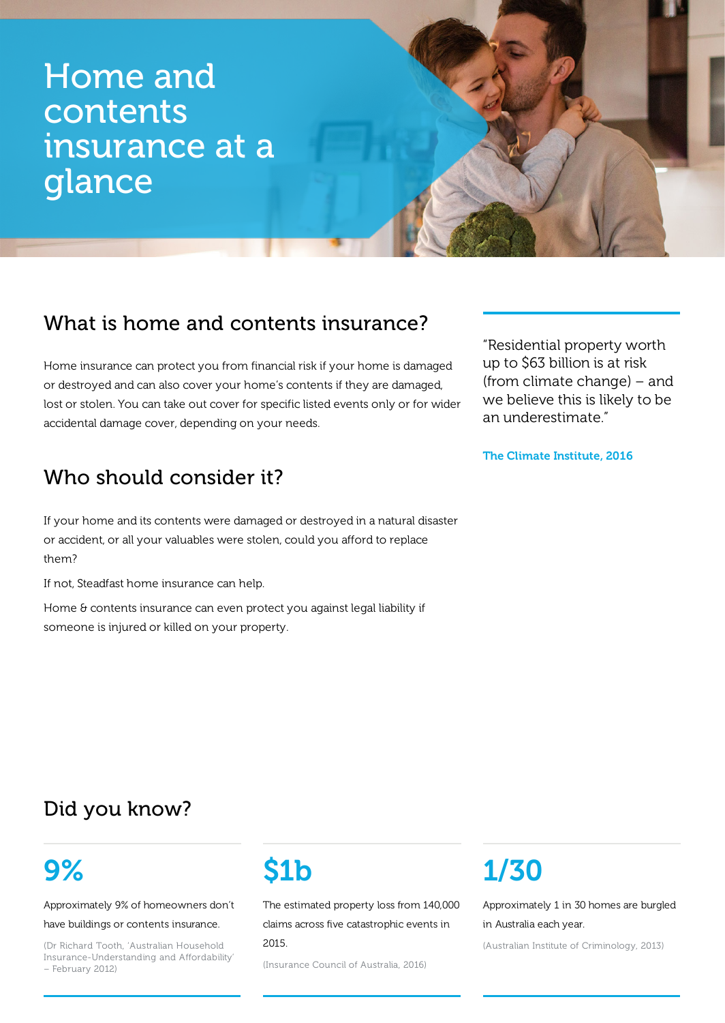# Home and contents insurance at a glance

## What is home and contents insurance?

Home insurance can protect you from financial risk if your home is damaged or destroyed and can also cover your home's contents if they are damaged, lost or stolen. You can take out cover for specific listed events only or for wider accidental damage cover, depending on your needs.

## Who should consider it?

If your home and its contents were damaged or destroyed in a natural disaster or accident, or all your valuables were stolen, could you afford to replace them?

If not, Steadfast home insurance can help.

Home & contents insurance can even protect you against legal liability if someone is injured or killed on your property.

"Residential property worth up to \$63 billion is at risk (from climate change) – and we believe this is likely to be an underestimate."

The Climate Institute, 2016

## Did you know?

# 9%

Approximately 9% of homeowners don't

have buildings or contents insurance.

(Dr Richard Tooth, 'Australian Household Insurance-Understanding and Affordability' – February 2012)



The estimated property loss from 140,000 claims across five catastrophic events in 2015.

(Insurance Council of Australia, 2016)

# 1/30

Approximately 1 in 30 homes are burgled in Australia each year.

(Australian Institute of Criminology, 2013)